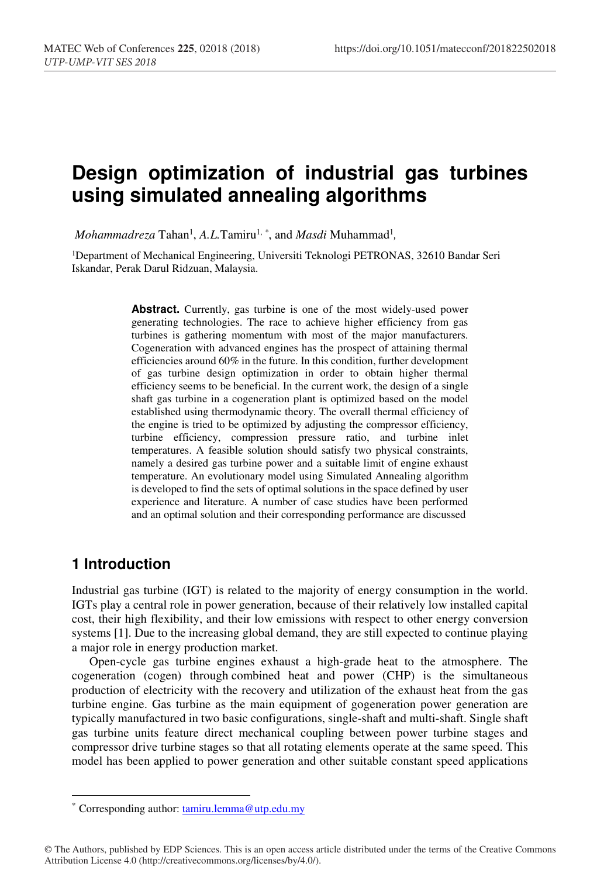# **Design optimization of industrial gas turbines using simulated annealing algorithms**

*Mohammadreza* Tahan<sup>1</sup>, *A.L*.Tamiru<sup>1,</sup> \*, and *Masdi* Muhammad<sup>1</sup>,

1Department of Mechanical Engineering, Universiti Teknologi PETRONAS, 32610 Bandar Seri Iskandar, Perak Darul Ridzuan, Malaysia.

> **Abstract.** Currently, gas turbine is one of the most widely-used power generating technologies. The race to achieve higher efficiency from gas turbines is gathering momentum with most of the major manufacturers. Cogeneration with advanced engines has the prospect of attaining thermal efficiencies around 60% in the future. In this condition, further development of gas turbine design optimization in order to obtain higher thermal efficiency seems to be beneficial. In the current work, the design of a single shaft gas turbine in a cogeneration plant is optimized based on the model established using thermodynamic theory. The overall thermal efficiency of the engine is tried to be optimized by adjusting the compressor efficiency, turbine efficiency, compression pressure ratio, and turbine inlet temperatures. A feasible solution should satisfy two physical constraints, namely a desired gas turbine power and a suitable limit of engine exhaust temperature. An evolutionary model using Simulated Annealing algorithm is developed to find the sets of optimal solutions in the space defined by user experience and literature. A number of case studies have been performed and an optimal solution and their corresponding performance are discussed

## **1 Introduction**

Industrial gas turbine (IGT) is related to the majority of energy consumption in the world. IGTs play a central role in power generation, because of their relatively low installed capital cost, their high flexibility, and their low emissions with respect to other energy conversion systems [1]. Due to the increasing global demand, they are still expected to continue playing a major role in energy production market.

Open-cycle gas turbine engines exhaust a high-grade heat to the atmosphere. The cogeneration (cogen) through combined heat and power (CHP) is the simultaneous production of electricity with the recovery and utilization of the exhaust heat from the gas turbine engine. Gas turbine as the main equipment of gogeneration power generation are typically manufactured in two basic configurations, single-shaft and multi-shaft. Single shaft gas turbine units feature direct mechanical coupling between power turbine stages and compressor drive turbine stages so that all rotating elements operate at the same speed. This model has been applied to power generation and other suitable constant speed applications

<sup>\*</sup> Corresponding author: tamiru.lemma@utp.edu.my

<sup>©</sup> The Authors, published by EDP Sciences. This is an open access article distributed under the terms of the Creative Commons Attribution License 4.0 (http://creativecommons.org/licenses/by/4.0/).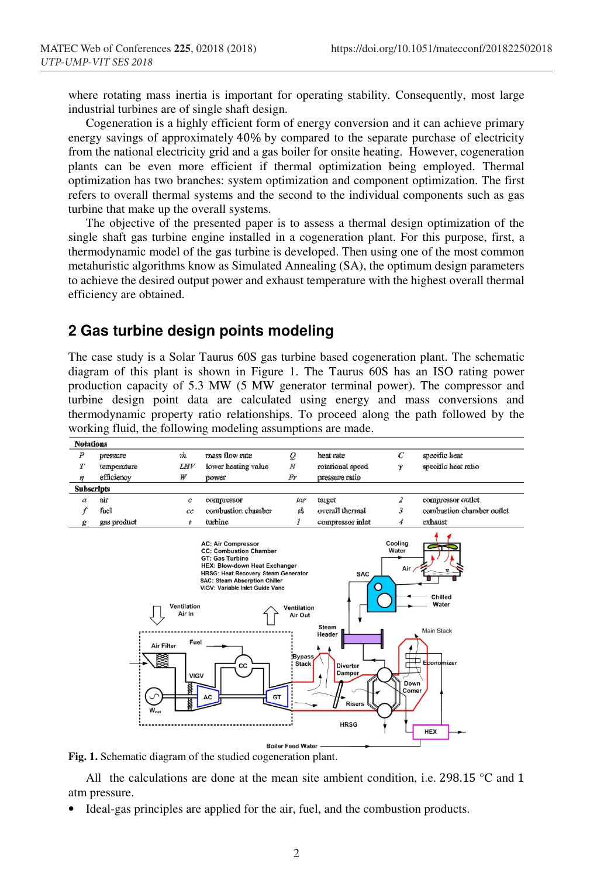where rotating mass inertia is important for operating stability. Consequently, most large industrial turbines are of single shaft design.

Cogeneration is a highly efficient form of energy conversion and it can achieve primary energy savings of approximately 40% by compared to the separate purchase of electricity from the national electricity grid and a gas boiler for onsite heating. However, cogeneration plants can be even more efficient if thermal optimization being employed. Thermal optimization has two branches: system optimization and component optimization. The first refers to overall thermal systems and the second to the individual components such as gas turbine that make up the overall systems.

The objective of the presented paper is to assess a thermal design optimization of the single shaft gas turbine engine installed in a cogeneration plant. For this purpose, first, a thermodynamic model of the gas turbine is developed. Then using one of the most common metahuristic algorithms know as Simulated Annealing (SA), the optimum design parameters to achieve the desired output power and exhaust temperature with the highest overall thermal efficiency are obtained.

### **2 Gas turbine design points modeling**

The case study is a Solar Taurus 60S gas turbine based cogeneration plant. The schematic diagram of this plant is shown in Figure 1. The Taurus 60S has an ISO rating power production capacity of 5.3 MW (5 MW generator terminal power). The compressor and turbine design point data are calculated using energy and mass conversions and thermodynamic property ratio relationships. To proceed along the path followed by the working fluid, the following modeling assumptions are made.



**Fig. 1.** Schematic diagram of the studied cogeneration plant.

All the calculations are done at the mean site ambient condition, i.e. 298.15 °C and 1 atm pressure.

Ideal-gas principles are applied for the air, fuel, and the combustion products.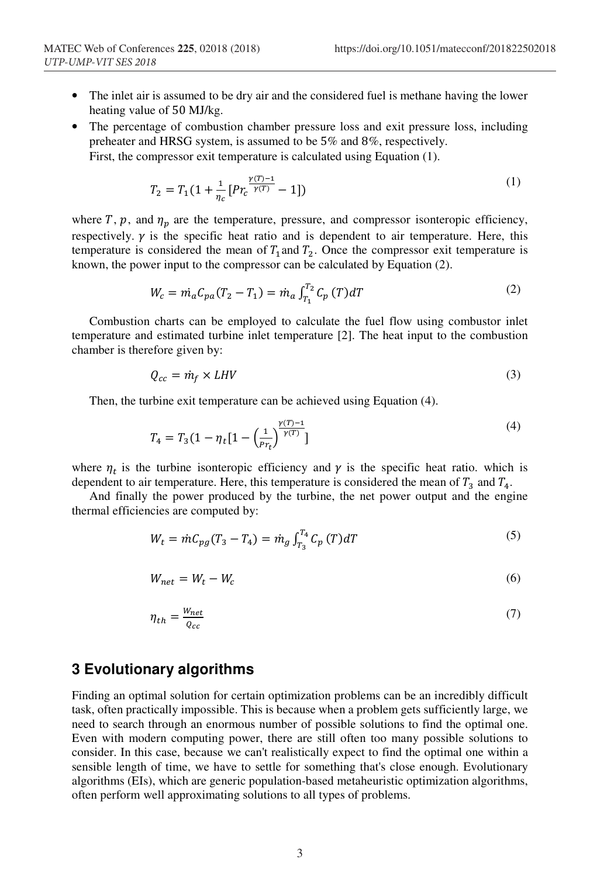- The inlet air is assumed to be dry air and the considered fuel is methane having the lower heating value of 50 MJ/kg.
- The percentage of combustion chamber pressure loss and exit pressure loss, including preheater and HRSG system, is assumed to be 5% and 8%, respectively. First, the compressor exit temperature is calculated using Equation (1).

$$
T_2 = T_1 \left( 1 + \frac{1}{\eta_c} \left[ Pr_c^{\frac{Y(T) - 1}{\gamma(T)}} - 1 \right] \right) \tag{1}
$$

where T, p, and  $\eta_n$  are the temperature, pressure, and compressor isonteropic efficiency, respectively.  $\gamma$  is the specific heat ratio and is dependent to air temperature. Here, this temperature is considered the mean of  $T_1$  and  $T_2$ . Once the compressor exit temperature is known, the power input to the compressor can be calculated by Equation (2).

$$
W_c = m_a C_{pa} (T_2 - T_1) = m_a \int_{T_1}^{T_2} C_p (T) dT \tag{2}
$$

Combustion charts can be employed to calculate the fuel flow using combustor inlet temperature and estimated turbine inlet temperature [2]. The heat input to the combustion chamber is therefore given by:

$$
Q_{cc} = \dot{m}_f \times LHV \tag{3}
$$

Then, the turbine exit temperature can be achieved using Equation (4).

$$
T_4 = T_3 \left( 1 - \eta_t \left[ 1 - \left( \frac{1}{Pr_t} \right)^{\frac{\gamma(T) - 1}{\gamma(T)}} \right] \right) \tag{4}
$$

where  $\eta_t$  is the turbine isonteropic efficiency and  $\gamma$  is the specific heat ratio. which is dependent to air temperature. Here, this temperature is considered the mean of  $T_3$  and  $T_4$ .

And finally the power produced by the turbine, the net power output and the engine thermal efficiencies are computed by:

$$
W_t = \dot{m} C_{pg} (T_3 - T_4) = \dot{m}_g \int_{T_3}^{T_4} C_p (T) dT \tag{5}
$$

$$
W_{net} = W_t - W_c \tag{6}
$$

$$
\eta_{th} = \frac{w_{net}}{q_{cc}}\tag{7}
$$

#### **3 Evolutionary algorithms**

Finding an optimal solution for certain optimization problems can be an incredibly difficult task, often practically impossible. This is because when a problem gets sufficiently large, we need to search through an enormous number of possible solutions to find the optimal one. Even with modern computing power, there are still often too many possible solutions to consider. In this case, because we can't realistically expect to find the optimal one within a sensible length of time, we have to settle for something that's close enough. Evolutionary algorithms (EIs), which are generic population-based metaheuristic optimization algorithms, often perform well approximating solutions to all types of problems.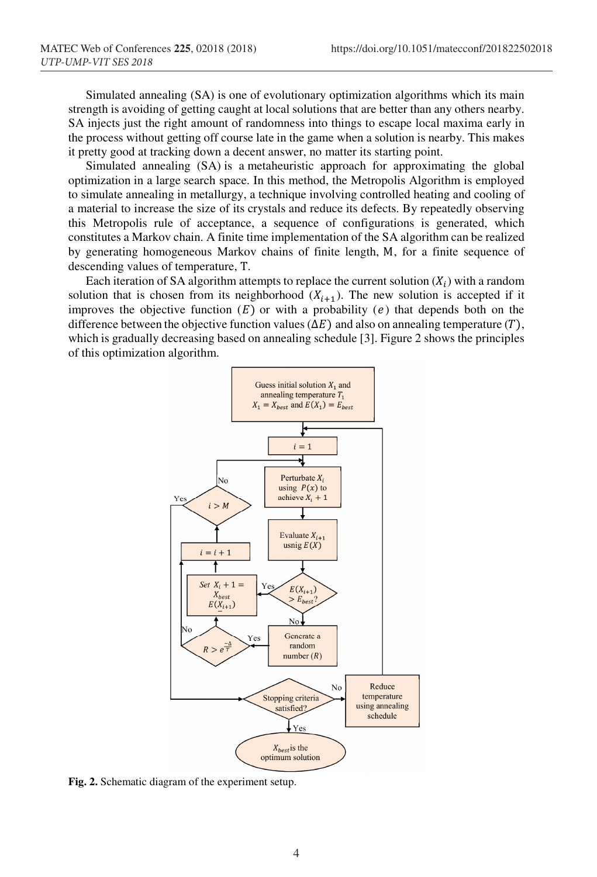Simulated annealing (SA) is one of evolutionary optimization algorithms which its main strength is avoiding of getting caught at local solutions that are better than any others nearby. SA injects just the right amount of randomness into things to escape local maxima early in the process without getting off course late in the game when a solution is nearby. This makes it pretty good at tracking down a decent answer, no matter its starting point.

Simulated annealing (SA) is a metaheuristic approach for approximating the global optimization in a large search space. In this method, the Metropolis Algorithm is employed to simulate annealing in metallurgy, a technique involving controlled heating and cooling of a material to increase the size of its crystals and reduce its defects. By repeatedly observing this Metropolis rule of acceptance, a sequence of configurations is generated, which constitutes a Markov chain. A finite time implementation of the SA algorithm can be realized by generating homogeneous Markov chains of finite length, M, for a finite sequence of descending values of temperature, T.

Each iteration of SA algorithm attempts to replace the current solution  $(X_i)$  with a random solution that is chosen from its neighborhood  $(X_{i+1})$ . The new solution is accepted if it improves the objective function  $(E)$  or with a probability  $(e)$  that depends both on the difference between the objective function values ( $\Delta E$ ) and also on annealing temperature (T), which is gradually decreasing based on annealing schedule [3]. Figure 2 shows the principles of this optimization algorithm.



**Fig. 2.** Schematic diagram of the experiment setup.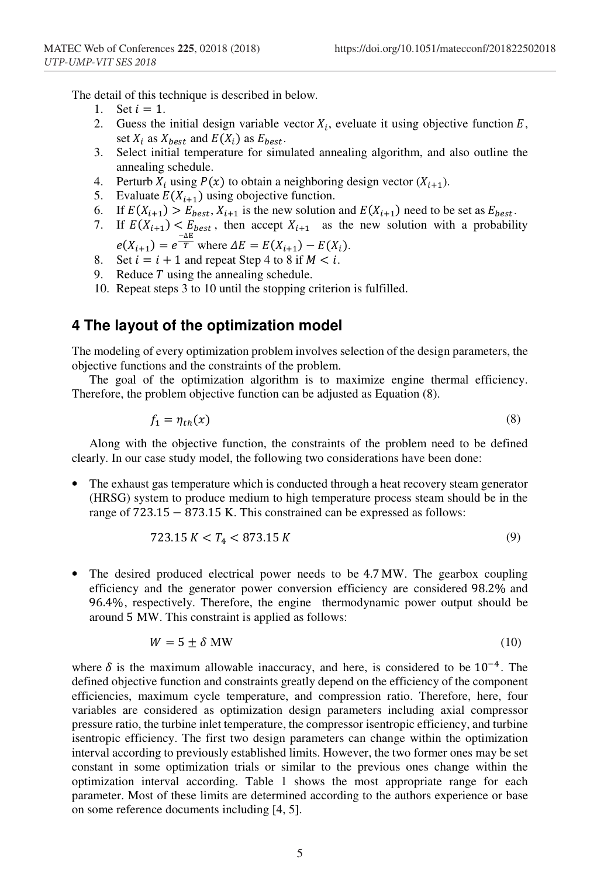The detail of this technique is described in below.

- 1. Set  $i = 1$ .<br>2. Guess the
- Guess the initial design variable vector  $X_i$ , eveluate it using objective function  $E$ , set  $X_i$  as  $X_{best}$  and  $E(X_i)$  as  $E_{best}$ .
- 3. Select initial temperature for simulated annealing algorithm, and also outline the annealing schedule.
- 4. Perturb  $X_i$  using  $P(x)$  to obtain a neighboring design vector  $(X_{i+1})$ .
- 5. Evaluate  $E(X_{i+1})$  using obojective function.
- 6. If  $E(X_{i+1}) > E_{best}$ ,  $X_{i+1}$  is the new solution and  $E(X_{i+1})$  need to be set as  $E_{best}$ .
- 7. If  $E(X_{i+1}) < E_{best}$ , then accept  $X_{i+1}$  as the new solution with a probability  $e(X_{i+1}) = e^{\frac{-\Delta E}{T}}$  where  $\Delta E = E(X_{i+1}) - E(X_i)$ .
- 
- 8. Set  $i = i + 1$  and repeat Step 4 to 8 if  $M < i$ .<br>9. Reduce T using the annealing schedule. Reduce  $T$  using the annealing schedule.
- 10. Repeat steps 3 to 10 until the stopping criterion is fulfilled.

## **4 The layout of the optimization model**

The modeling of every optimization problem involves selection of the design parameters, the objective functions and the constraints of the problem.

The goal of the optimization algorithm is to maximize engine thermal efficiency. Therefore, the problem objective function can be adjusted as Equation (8).

$$
f_1 = \eta_{th}(x) \tag{8}
$$

Along with the objective function, the constraints of the problem need to be defined clearly. In our case study model, the following two considerations have been done:

• The exhaust gas temperature which is conducted through a heat recovery steam generator (HRSG) system to produce medium to high temperature process steam should be in the range of 723.15 − 873.15 K. This constrained can be expressed as follows:

$$
723.15 K < T_4 < 873.15 K \tag{9}
$$

• The desired produced electrical power needs to be 4.7 MW. The gearbox coupling efficiency and the generator power conversion efficiency are considered 98.2% and 96.4%, respectively. Therefore, the engine thermodynamic power output should be around 5 MW. This constraint is applied as follows:

$$
W = 5 \pm \delta \text{ MW} \tag{10}
$$

where  $\delta$  is the maximum allowable inaccuracy, and here, is considered to be  $10^{-4}$ . The defined objective function and constraints greatly depend on the efficiency of the component efficiencies, maximum cycle temperature, and compression ratio. Therefore, here, four variables are considered as optimization design parameters including axial compressor pressure ratio, the turbine inlet temperature, the compressor isentropic efficiency, and turbine isentropic efficiency. The first two design parameters can change within the optimization interval according to previously established limits. However, the two former ones may be set constant in some optimization trials or similar to the previous ones change within the optimization interval according. Table 1 shows the most appropriate range for each parameter. Most of these limits are determined according to the authors experience or base on some reference documents including [4, 5].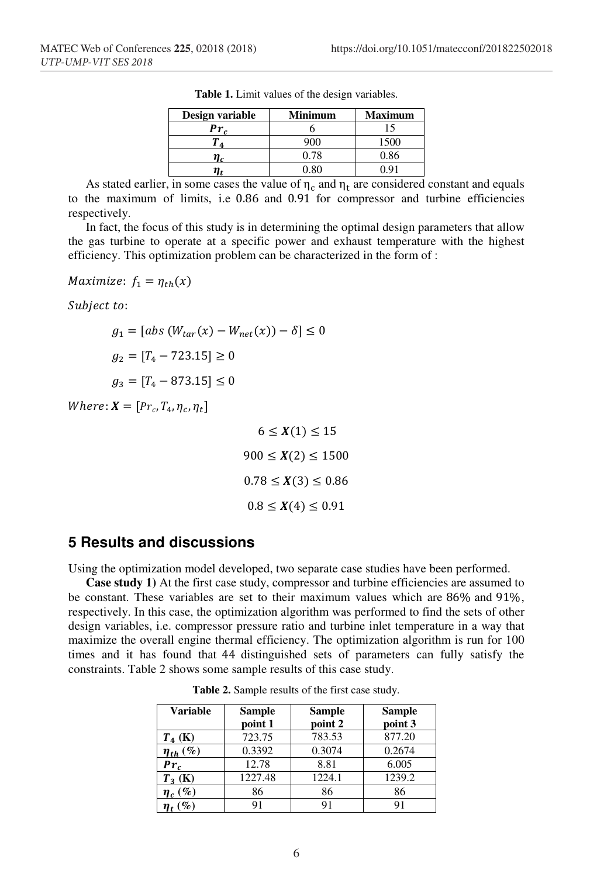| Design variable          | <b>Minimum</b> | <b>Maximum</b> |
|--------------------------|----------------|----------------|
| Pr                       |                |                |
|                          | 900            | 1500           |
| $\bm{\eta}_{\textit{c}}$ | 0.78           | 0.86           |
|                          | በ ዩበ           |                |

**Table 1.** Limit values of the design variables.

As stated earlier, in some cases the value of  $\eta_c$  and  $\eta_t$  are considered constant and equals to the maximum of limits, i.e 0.86 and 0.91 for compressor and turbine efficiencies respectively.

In fact, the focus of this study is in determining the optimal design parameters that allow the gas turbine to operate at a specific power and exhaust temperature with the highest efficiency. This optimization problem can be characterized in the form of :

$$
Maximize: f_1 = \eta_{th}(x)
$$

Subject to:

$$
g_1 = [abs (W_{tar}(x) - W_{net}(x)) - \delta] \le 0
$$
  
\n
$$
g_2 = [T_4 - 723.15] \ge 0
$$
  
\n
$$
g_3 = [T_4 - 873.15] \le 0
$$

Where:  $X = [Pr_c, T_4, \eta_c, \eta_t]$ 

$$
6 \le X(1) \le 15
$$
  
900 \le X(2) \le 1500  
0.78 \le X(3) \le 0.86  
0.8 \le X(4) \le 0.91

### **5 Results and discussions**

Using the optimization model developed, two separate case studies have been performed.

**Case study 1)** At the first case study, compressor and turbine efficiencies are assumed to be constant. These variables are set to their maximum values which are 86% and 91%, respectively. In this case, the optimization algorithm was performed to find the sets of other design variables, i.e. compressor pressure ratio and turbine inlet temperature in a way that maximize the overall engine thermal efficiency. The optimization algorithm is run for 100 times and it has found that 44 distinguished sets of parameters can fully satisfy the constraints. Table 2 shows some sample results of this case study.

| <b>Variable</b> | <b>Sample</b> | <b>Sample</b> | <b>Sample</b>  |
|-----------------|---------------|---------------|----------------|
|                 | point 1       | point 2       | point 3        |
| $T_4$ (K)       | 723.75        | 783.53        | 877.20         |
| $\eta_{th}(\%)$ | 0.3392        | 0.3074        | 0.2674         |
| Pr.             | 12.78         | 8.81          | 6.005          |
| $T_3$ (K)       | 1227.48       | 1224.1        | 1239.2         |
| $\eta_c(\%)$    | 86            | 86            | 86             |
|                 | 91            | 91            | Q <sub>1</sub> |

**Table 2.** Sample results of the first case study.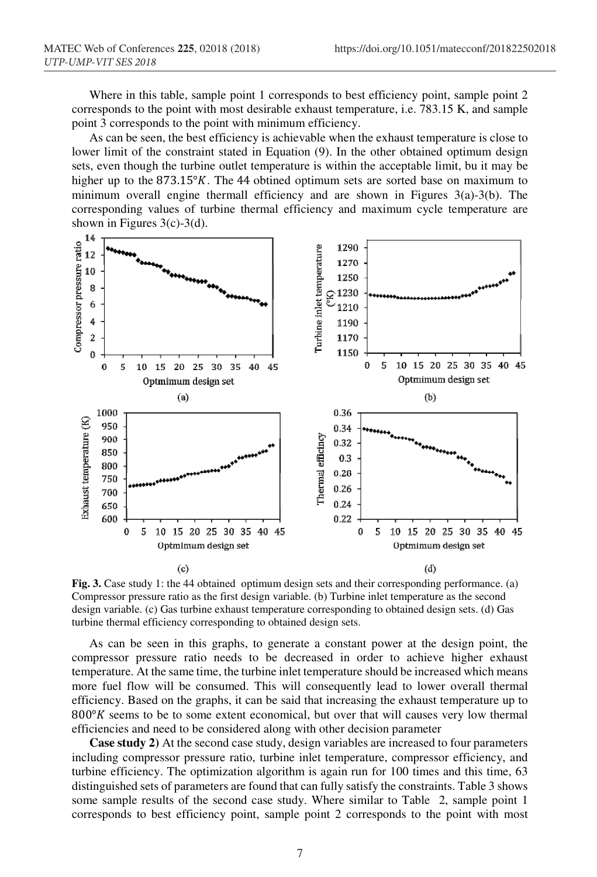Where in this table, sample point 1 corresponds to best efficiency point, sample point 2 corresponds to the point with most desirable exhaust temperature, i.e. 783.15 K, and sample point 3 corresponds to the point with minimum efficiency.

As can be seen, the best efficiency is achievable when the exhaust temperature is close to lower limit of the constraint stated in Equation (9). In the other obtained optimum design sets, even though the turbine outlet temperature is within the acceptable limit, bu it may be higher up to the  $873.15\%$ . The 44 obtined optimum sets are sorted base on maximum to minimum overall engine thermall efficiency and are shown in Figures  $3(a)-3(b)$ . The corresponding values of turbine thermal efficiency and maximum cycle temperature are shown in Figures  $3(c)$ -3(d).



**Fig. 3.** Case study 1: the 44 obtained optimum design sets and their corresponding performance. (a) Compressor pressure ratio as the first design variable. (b) Turbine inlet temperature as the second design variable. (c) Gas turbine exhaust temperature corresponding to obtained design sets. (d) Gas turbine thermal efficiency corresponding to obtained design sets.

As can be seen in this graphs, to generate a constant power at the design point, the compressor pressure ratio needs to be decreased in order to achieve higher exhaust temperature. At the same time, the turbine inlet temperature should be increased which means more fuel flow will be consumed. This will consequently lead to lower overall thermal efficiency. Based on the graphs, it can be said that increasing the exhaust temperature up to  $800\degree$ K seems to be to some extent economical, but over that will causes very low thermal efficiencies and need to be considered along with other decision parameter

**Case study 2)** At the second case study, design variables are increased to four parameters including compressor pressure ratio, turbine inlet temperature, compressor efficiency, and turbine efficiency. The optimization algorithm is again run for 100 times and this time, 63 distinguished sets of parameters are found that can fully satisfy the constraints. Table 3 shows some sample results of the second case study. Where similar to Table 2, sample point 1 corresponds to best efficiency point, sample point 2 corresponds to the point with most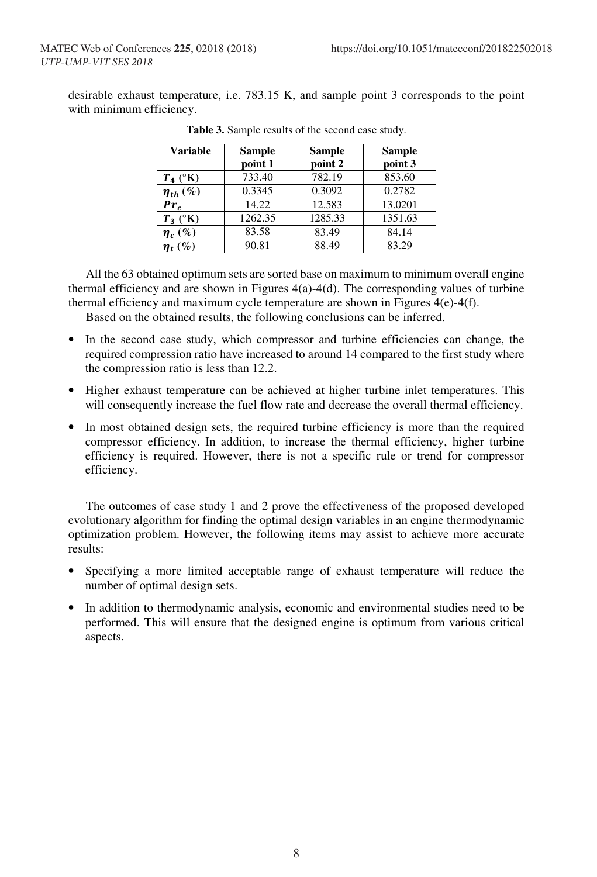desirable exhaust temperature, i.e. 783.15 K, and sample point 3 corresponds to the point with minimum efficiency.

| Variable        | <b>Sample</b><br>point 1 | <b>Sample</b><br>point 2 | <b>Sample</b><br>point 3 |
|-----------------|--------------------------|--------------------------|--------------------------|
| $T_4$ (°K)      | 733.40                   | 782.19                   | 853.60                   |
| $\eta_{th}(\%)$ | 0.3345                   | 0.3092                   | 0.2782                   |
| $Pr_c$          | 14.22                    | 12.583                   | 13.0201                  |
| $T_3$ (°K)      | 1262.35                  | 1285.33                  | 1351.63                  |
| $\eta_c(\%)$    | 83.58                    | 83.49                    | 84.14                    |
| $\eta_t(\%)$    | 90.81                    | 88.49                    | 83.29                    |

**Table 3.** Sample results of the second case study.

All the 63 obtained optimum sets are sorted base on maximum to minimum overall engine thermal efficiency and are shown in Figures  $4(a)$ - $4(d)$ . The corresponding values of turbine thermal efficiency and maximum cycle temperature are shown in Figures 4(e)-4(f).

Based on the obtained results, the following conclusions can be inferred.

- In the second case study, which compressor and turbine efficiencies can change, the required compression ratio have increased to around 14 compared to the first study where the compression ratio is less than 12.2.
- Higher exhaust temperature can be achieved at higher turbine inlet temperatures. This will consequently increase the fuel flow rate and decrease the overall thermal efficiency.
- In most obtained design sets, the required turbine efficiency is more than the required compressor efficiency. In addition, to increase the thermal efficiency, higher turbine efficiency is required. However, there is not a specific rule or trend for compressor efficiency.

The outcomes of case study 1 and 2 prove the effectiveness of the proposed developed evolutionary algorithm for finding the optimal design variables in an engine thermodynamic optimization problem. However, the following items may assist to achieve more accurate results:

- Specifying a more limited acceptable range of exhaust temperature will reduce the number of optimal design sets.
- In addition to thermodynamic analysis, economic and environmental studies need to be performed. This will ensure that the designed engine is optimum from various critical aspects.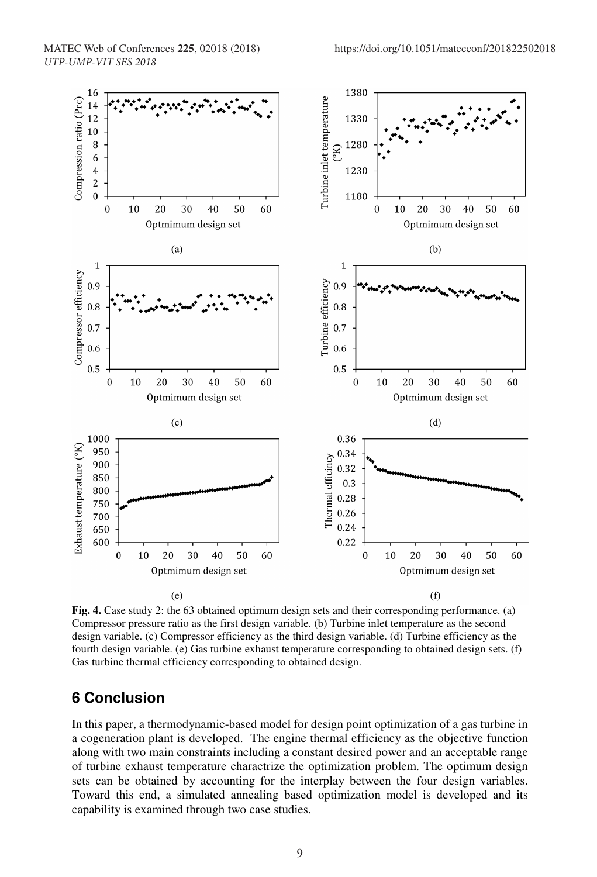

**Fig. 4.** Case study 2: the 63 obtained optimum design sets and their corresponding performance. (a) Compressor pressure ratio as the first design variable. (b) Turbine inlet temperature as the second design variable. (c) Compressor efficiency as the third design variable. (d) Turbine efficiency as the fourth design variable. (e) Gas turbine exhaust temperature corresponding to obtained design sets. (f) Gas turbine thermal efficiency corresponding to obtained design.

# **6 Conclusion**

In this paper, a thermodynamic-based model for design point optimization of a gas turbine in a cogeneration plant is developed. The engine thermal efficiency as the objective function along with two main constraints including a constant desired power and an acceptable range of turbine exhaust temperature charactrize the optimization problem. The optimum design sets can be obtained by accounting for the interplay between the four design variables. Toward this end, a simulated annealing based optimization model is developed and its capability is examined through two case studies.